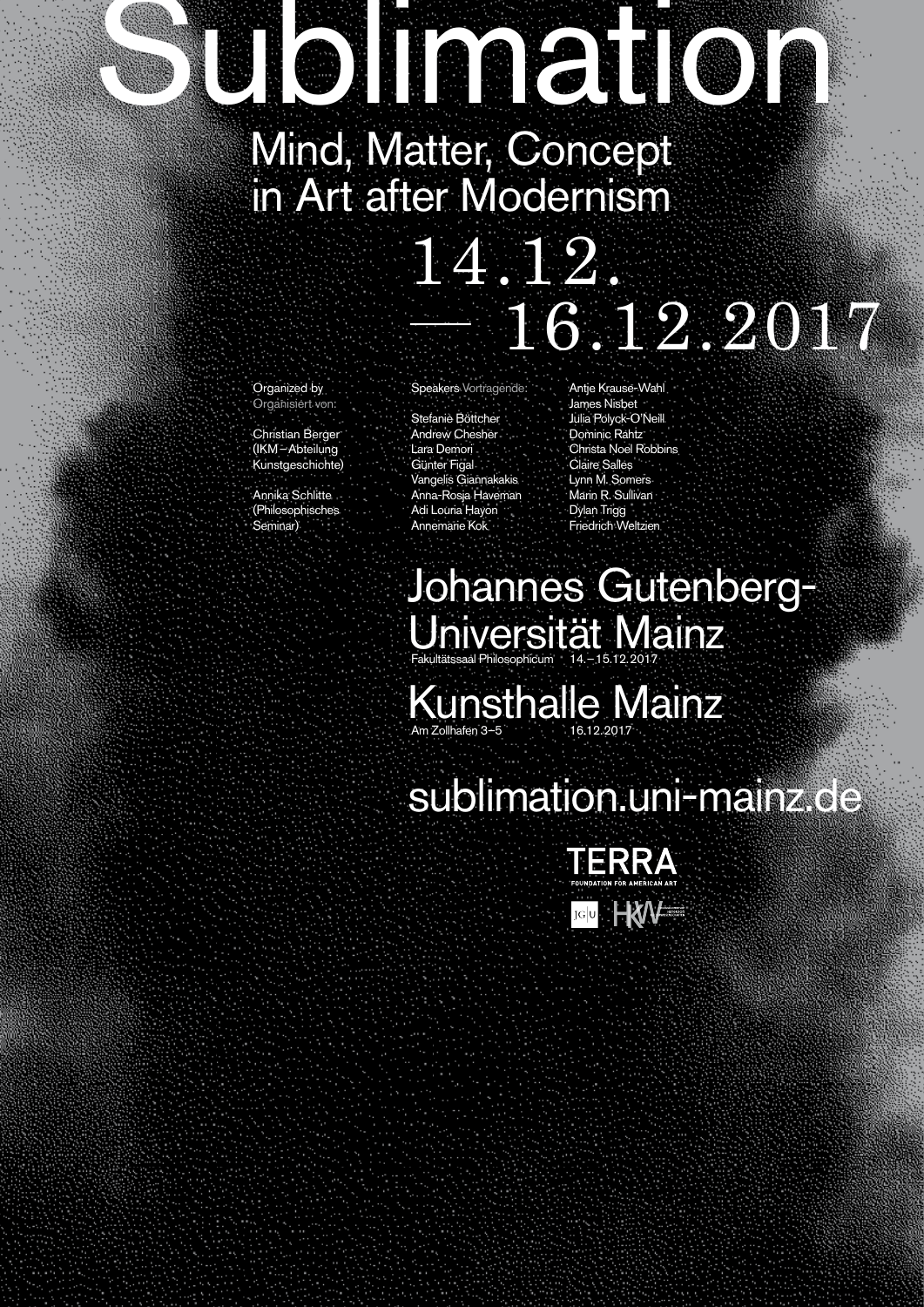# **UISIMATION**

Mind, Matter, Concept in Art after Modernism

## 14.12. — 16.12.2017

Organized by Organisiert von:

Christian Berger (IKM – Abteilung Kunstgeschichte)

Annika Schlitte (Philosophisches Seminar)

Speakers Vortragende:

Stefanie Böttcher Andrew Chesher Lara Demori Günter Figal Vangelis Giannakakis Anna-Rosja Haveman Adi Louria Hayon Annemarie Kok

Antie Krause-Wahl James Nisbet Julia Polyck-O'Neill Dominic Rahtz Christa Noel Robbins Claire Salles Lynn M. Somers Marin R. Sullivan Dylan Trigg Friedrich Weltzien

#### Johannes Gutenberg-Universität Mainz Fakultätssaal Philosophicum 14. – 15.12. 2017

Kunsthalle Mainz Am Zollhafen 3–5 16.12. 2017

### sublimation.uni-mainz.de

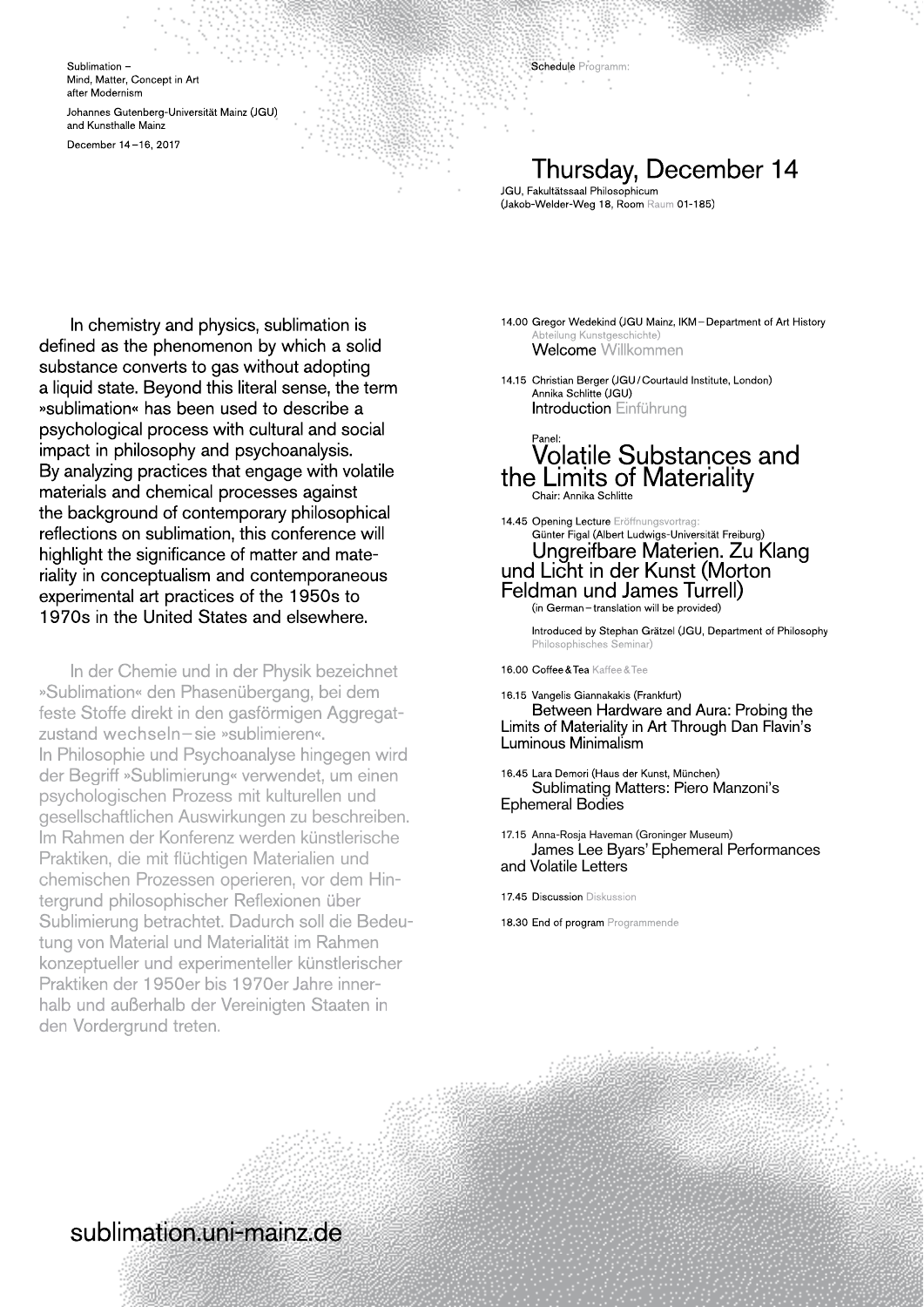Sublimation – Mind, Matter, Concept in Art after Modernism

Johannes Gutenberg-Universität Mainz (JGU) and Kunsthalle Mainz

December 14 – 16, 2017

#### Thursday, December 14

JGU, Fakultätssaal Philosophicum (Jakob-Welder-Weg 18, Room Raum 01 - 185)

Schedule Programm:

In chemistry and physics, sublimation is defined as the phenomenon by which a solid substance converts to gas without adopting a liquid state. Beyond this literal sense, the term »sublimation« has been used to describe a psychological process with cultural and social impact in philosophy and psychoanalysis. By analyzing practices that engage with volatile materials and chemical processes against the background of contemporary philosophical reflections on sublimation, this conference will highlight the significance of matter and materiality in conceptualism and contemporaneous experimental art practices of the 1950s to 1970s in the United States and elsewhere.

In der Chemie und in der Physik bezeichnet »Sublimation« den Phasenübergang, bei dem feste Stoffe direkt in den gasförmigen Aggregat-feste Stoffe direkt in den gasförmigen Aggregatzustand wechseln – sie »sublimieren«. In Philosophie und Psychoanalyse hingegen wird der Begriff »Sublimierung« verwendet, um einen psychologischen Prozess mit kulturellen und gesellschaftlichen Auswirkungen zu beschreiben. Im Rahmen der Konferenz werden künstlerische Praktiken, die mit flüchtigen Materialien und chemischen Prozessen operieren, vor dem Hintergrund philosophischer Reflexionen über Sublimierung betrachtet. Dadurch soll die Bedeutung von Material und Materialität im Rahmen konzeptueller und experimenteller künstlerischer Praktiken der 1950er bis 1970er Jahre innerhalb und außerhalb der Vereinigten Staaten in den Vordergrund treten. substance converts to gas without adoption in the content of the content of the method of the content of the content of the content of the converts in the converts in the converts of the converts of the converts of the con

14.00 Gregor Wedekind (JGU Mainz, IKM – Department of Art History ung Kunstgeschichte) Welcome Willkommen

14.15 Christian Berger (JGU / Courtauld Institute, London) Annika Schlitte (JGU) Introduction Einführung

#### Panel: Volatile Substances and the Limits of Materiality Chair: Annika Schlitte

14.45 Opening Lecture Eröffnungsvortrag: Günter Figal (Albert Ludwigs-Universität Freiburg) Ungreifbare Materien. Zu Klang und Licht in der Kunst (Morton Feldman und James Turrell) (in German – translation will be provided)

 Introduced by Stephan Grätzel (JGU, Department of Philosophy Philosophisches Seminar)

16.00 Coffee & Tea Kaffee & Tee

16.15 Vangelis Giannakakis (Frankfurt) Between Hardware and Aura: Probing the Limits of Materiality in Art Through Dan Flavin's Luminous Minimalism

16.45 Lara Demori (Haus der Kunst, München) Sublimating Matters: Piero Manzoni's Ephemeral Bodies

17.15 Anna-Rosja Haveman (Groninger Museum) James Lee Byars' Ephemeral Performances and Volatile Letters

17.45 Discussion Diskussion

18.30 End of program Programmende

#### sublimation.uni-mainz.de